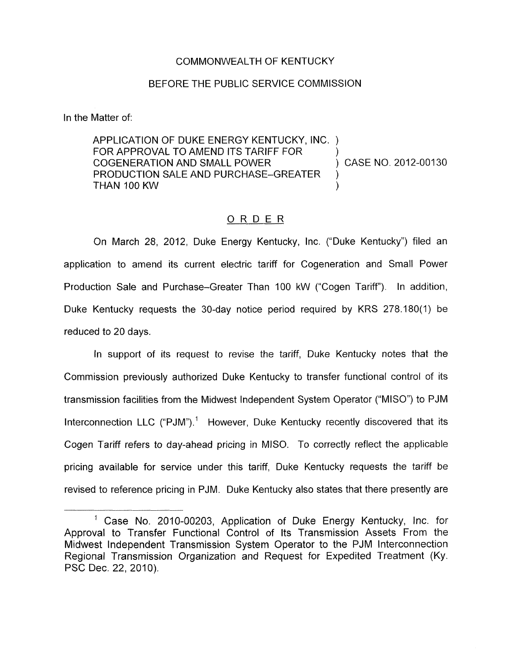## COMMONWEALTH OF KENTUCKY

## BEFORE THE PUBLIC SERVICE COMMISSION

In the Matter of:

APPLICATION OF DUKE ENERGY KENTUCKY, INC. ) FOR APPROVAL TO AMEND ITS TARIFF FOR COGENERATION AND SMALL POWER PRODUCTION SALE AND PURCHASE-GREATER THAN 100 KW ) CASE NO. 2012-00130

## ORDER

On March 28, 2012, Duke Energy Kentucky, Inc. ("Duke Kentucky") filed an application to amend its current electric tariff for Cogeneration and Small Power Production Sale and Purchase-Greater Than 100 kW ("Cogen Tariff"). In addition, Duke Kentucky requests the 30-day notice period required by KRS 278.180(1) be reduced to 20 days.

In support of its request to revise the tariff, Duke Kentucky notes that the Commission previously authorized Duke Kentucky to transfer functional control of its transmission facilities from the Midwest Independent System Operator ("MISO") to PJM Interconnection LLC ("PJM").<sup>1</sup> However, Duke Kentucky recently discovered that its Cogen 7ariff refers to day-ahead pricing in MISO. To correctly reflect the applicable pricing available for service under this tariff, Duke Kentucky requests the tariff be revised to reference pricing in PJM. Duke Kentucky also states that there presently are

<sup>&</sup>lt;sup>1</sup> Case No. 2010-00203, Application of Duke Energy Kentucky, Inc. for Approval to Transfer Functional Control of Its Transmission Assets From the Midwest Independent Transmission System Operator to the PJM Interconnection Regional Transmission Organization and Request for Expedited Treatment (Ky. PSC Dec. 22, 2010).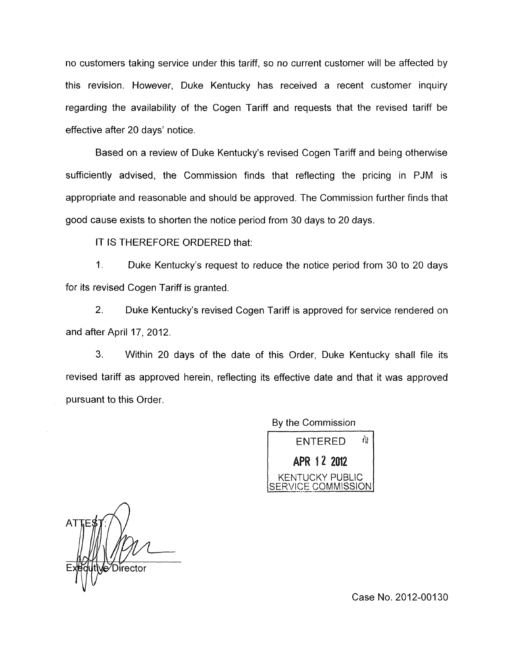no customers taking service under this tariff, so no current customer will be affected by this revision. However, Duke Kentucky has received a recent customer inquiry regarding the availability of the Cogen Tariff and requests that the revised tariff be effective after 20 days' notice.

Based on a review of Duke Kentucky's revised Cogen Tariff and being otherwise sufficiently advised, the Commission finds that reflecting the pricing in PJM is appropriate and reasonable and should be approved. The Commission further finds that good cause exists to shorten the notice period from 30 days to 20 days.

IT IS THEREFORE ORDERED that:

1. Duke Kentucky's request to reduce the notice period from 30 to 20 days for its revised Cogen Tariff is granted.

2. Duke Kentucky's revised Cogen Tariff is approved for service rendered on and after April 17, 2012.

**3.** Within 20 days of the date of this Order, Duke Kentucky shall file its revised tariff as approved herein, reflecting its effective date and that it was approved pursuant to this Order.

By the Commission



Director

Case No. 2012-00130